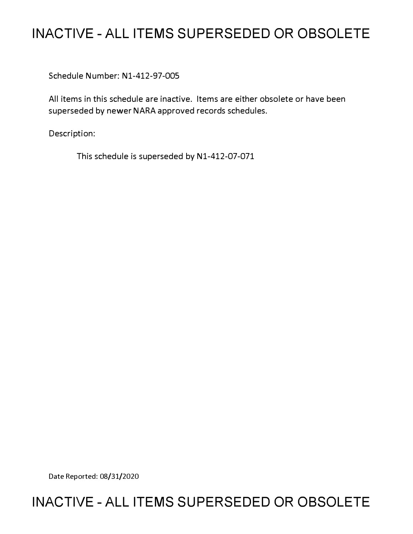# **INACTIVE - ALL ITEMS SUPERSEDED OR OBSOLETE**

Schedule Number: Nl-412-97-005

All items in this schedule are inactive. Items are either obsolete or have been superseded by newer NARA approved records schedules.

Description:

This schedule is superseded by N1-412-07-071

Date Reported: 08/31/2020

# **INACTIVE - ALL ITEMS SUPERSEDED OR OBSOLETE**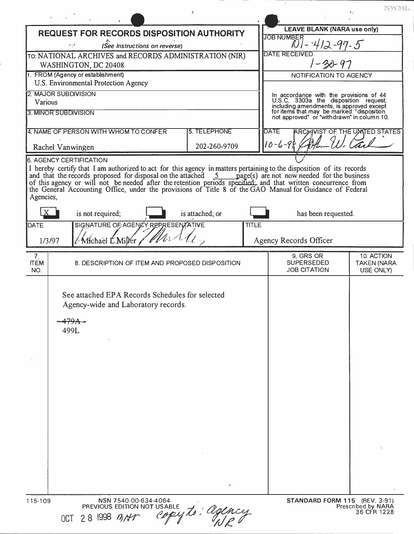| <b>REQUEST FOR RECORDS DISPOSITION AUTHORITY</b>                               |                                                                                                | <b>LEAVE BLANK (NARA use only)</b>                                                                                                                                                                                                                                                                                                                                                                                                                                                                                                                                 |  |
|--------------------------------------------------------------------------------|------------------------------------------------------------------------------------------------|--------------------------------------------------------------------------------------------------------------------------------------------------------------------------------------------------------------------------------------------------------------------------------------------------------------------------------------------------------------------------------------------------------------------------------------------------------------------------------------------------------------------------------------------------------------------|--|
|                                                                                |                                                                                                | <b>JOB NUMBER</b>                                                                                                                                                                                                                                                                                                                                                                                                                                                                                                                                                  |  |
| (See Instructions on reverse)<br>وبار                                          |                                                                                                | $101 - 412 - 97 - 5$                                                                                                                                                                                                                                                                                                                                                                                                                                                                                                                                               |  |
| TO: NATIONAL ARCHIVES and RECORDS ADMINISTRATION (NIR)<br>WASHINGTON, DC 20408 |                                                                                                | <b>DATE RECEIVED</b><br>$1 - 30 - 97$                                                                                                                                                                                                                                                                                                                                                                                                                                                                                                                              |  |
| U.S. Environmental Protection Agency                                           |                                                                                                | NOTIFICATION TO AGENCY                                                                                                                                                                                                                                                                                                                                                                                                                                                                                                                                             |  |
| 2. MAJOR SUBDIVISION<br>Various                                                |                                                                                                | In accordance with the provisions of 44<br>U.S.C. 3303a the disposition request,<br>including amendments, is approved except<br>for items that may be marked "disposition<br>not approved" or "withdrawn" in column 10.                                                                                                                                                                                                                                                                                                                                            |  |
| 3. MINOR SUBDIVISION                                                           |                                                                                                |                                                                                                                                                                                                                                                                                                                                                                                                                                                                                                                                                                    |  |
|                                                                                |                                                                                                | <b>DATE</b><br><b>ARCHIVIST OF THE UMTED STATES</b><br>$10 - 6 - 96$                                                                                                                                                                                                                                                                                                                                                                                                                                                                                               |  |
| <b>6. AGENCY CERTIFICATION</b><br>Agencies,                                    |                                                                                                |                                                                                                                                                                                                                                                                                                                                                                                                                                                                                                                                                                    |  |
| $\mathbf{X}$<br>is not required;                                               |                                                                                                | has been requested.                                                                                                                                                                                                                                                                                                                                                                                                                                                                                                                                                |  |
| / Michael L.Miller<br>1/3/97                                                   | <b>TITLE</b>                                                                                   | Agency Records Officer                                                                                                                                                                                                                                                                                                                                                                                                                                                                                                                                             |  |
|                                                                                |                                                                                                | 9. GRS OR<br>10. ACTION<br><b>SUPERSEDED</b><br><b>TAKEN (NARA</b><br><b>JOB CITATION</b><br>USE ONLY)                                                                                                                                                                                                                                                                                                                                                                                                                                                             |  |
| Agency-wide and Laboratory records.<br>499L                                    |                                                                                                |                                                                                                                                                                                                                                                                                                                                                                                                                                                                                                                                                                    |  |
| 115-109<br>NSN 7540-00-634-4064                                                |                                                                                                | STANDARD FORM 115 (REV. 3-91)                                                                                                                                                                                                                                                                                                                                                                                                                                                                                                                                      |  |
|                                                                                | 1. FROM (Agency or establishment)<br>4. NAME OF PERSON WITH WHOM TO CONFER<br>Rachel Vanwingen | <b>5. TELEPHONE</b><br>202-260-9709<br>I hereby certify that I am authorized to act for this agency in matters pertaining to the disposition of its records<br>and that the records proposed for disposal on the attached 5 page(s) are not now needed for the business<br>of this agency or will not be needed after the retention periods specified: and that written concurrence from<br>the Gen<br>is attached; or<br>SIGNATURE OF AGENCY REPRESENTATIVE<br>8. DESCRIPTION OF ITEM AND PROPOSED DISPOSITION<br>See attached EPA Records Schedules for selected |  |

the control of the control of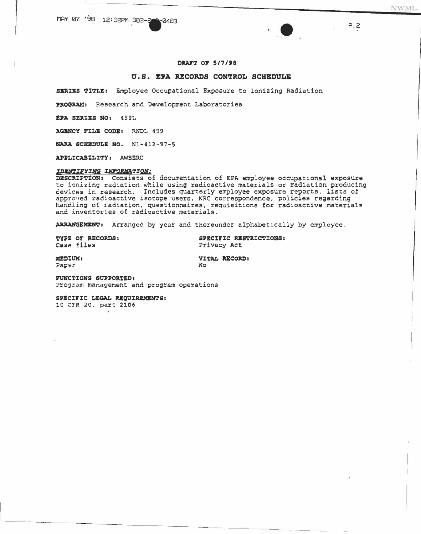# DRAFT OF 5/7/98

# U.S. EPA RECORDS CONTROL SCHEDULE

SERIES TITLE: Employee Occupational Exposure to Ionizing Radiation

PROGRAM: Research and Development Laboratories

EPA SERIES NO: 499L

AGENCY FILE CODE: RNDL 499

NARA SCHEDULE NO. N1-412-97-5

APPLICABILITY: AWBERC

# IDENTIFYING INFORMATION:

DESCRIPTION: Consists of documentation of EPA employee occupational exposure to ionizing radiation while using radioactive materials or radiation producing devices in research. Includes quarterly employee exposure reports, lists of approved radioactive isotope users, NRC correspondence, policies regarding handling of radiation, questionnaires, requisitions for radioactive materials and inventories of radioactive materials.

ARRANGEMENT: Arranged by year and thereunder alphabetically by employee.

| <b>TYPE OF RECORDS:</b> |  |
|-------------------------|--|
| Case files              |  |

SPECIFIC RESTRICTIONS: Privacy Act

**MEDIUM:** Paper

VITAL RECORD: No

FUNCTIONS SUPPORTED, Program management and program operations

SPECIFIC LEGAL REQUIREMENTS: 10 CFR 20, part 2106

P.2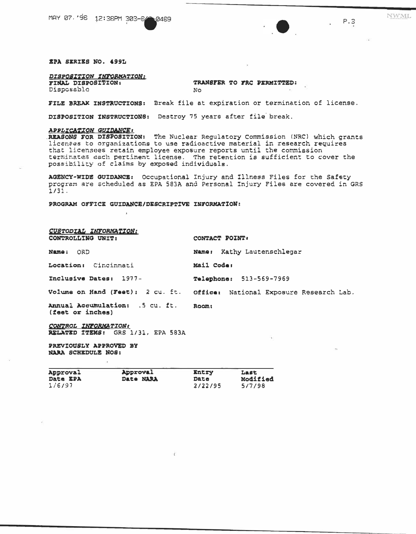MAY 07, '98 12:38PM 303-84 -0489

#### *IPA SIRIES NO. 499L*

DISPOSITION INFORMATION: **FINAL DISPOSITION:** 

Disposable

TRANSFER TO FRC PERMITTED: No

FILE BREAK INSTRUCTIONS: Break file at expiration or termination of license.

DISPOSITION INSTRUCTIONS: Destroy 75 years after file break.

## APPLICATION GUIDANCE:

REASONS FOR DISPOSITION: The Nuclear Regulatory Commission (NRC) which grants licenses to organizations to use radioactive material in research requires that licensees retain employee exposure reports until the commission terminates each pertinent license. The retention is sufficient to cover the possibility of claims by exposed individuals.

AGENCY-WIDE GUIDANCE: Occupational Injury and Illness Files for the Safety program are scheduled as EPA 583A and Personal Injury Files are covered in GRS  $1/31.$ 

PROGRAM OFFICE GUIDANCE/DESCRIPTIVE INFORMATION:

| CUSTODIAL INFORMATION:<br>CONTROLLING UNIT:              | CONTACT POINT:                                                           |  |  |
|----------------------------------------------------------|--------------------------------------------------------------------------|--|--|
| Name: ORD                                                | Name: Kathy Lautenschlegar                                               |  |  |
| Location: Cincinnati                                     | Mail Code:                                                               |  |  |
| Inclusive Dates: 1977-                                   | <b>Telephone: 513-569-7969</b>                                           |  |  |
|                                                          | Volume on Hand (Feet): 2 cu. ft. Office: National Exposure Research Lab. |  |  |
| Annual Accumulation: .5 cu. ft.<br>(feet or inches)      | Room:                                                                    |  |  |
| CONTROL INFORMATION<br>RELATED ITEMS: GRS 1/31, EPA 583A |                                                                          |  |  |
| PREVIOUSLY APPROVED BY                                   |                                                                          |  |  |

**NARA SCHEDULE NOS:** 

| Approval        | Approval  | <b>Entry</b> | Last     |
|-----------------|-----------|--------------|----------|
| <b>Date EPA</b> | Date NARA | Date         | Modified |
| 1/6/97          |           | 2/22/95      | 5/7/98   |

Ň.

 $P.S$ 

NWML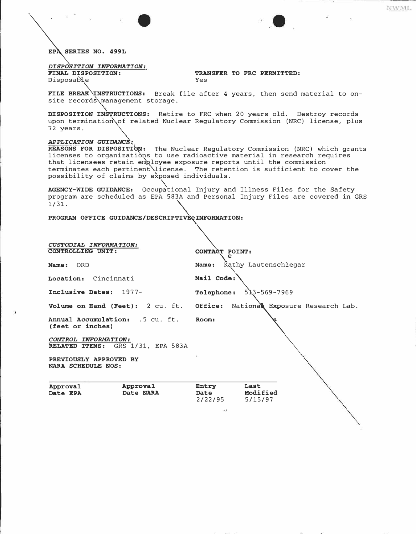*�ERIES NO. 499L* 

*DISPOSITION INFORMATION:* 

Disposable

 $\Delta$ 

**TRANSFER TO FRC PERMITTED:** Yes

FILE BREAK INSTRUCTIONS: Break file after 4 years, then send material to onsite records\management storage.

**DISPOSITION INS�RUCTIONS:** Retire to FRC when 20 years old. Destroy records upon termination\of related Nuclear Regulatory Commission (NRC) license, plus<br>72 years.

# 72 years.<br>**APPLICATION GUIDANCE:**

**REASONS FOR DISPOSITIG�:** The Nuclear Regulatory Commission (NRC) which grants licenses to organizations to use radioactive material in research requires that licensees retain employee exposure reports until the commission terminates each pertinent\license. The retention is sufficient to cover the possibility of claims by exposed individuals.

**AGENCY-WIDE GUIDANCE:** Occup�tional Injury and Illness Files for the Safety program are scheduled as EPA 583A and Personal Injury Files are covered in GRS 1/31. 1/31.<br>PROGRAM OFFICE GUIDANCE**/DESCRIPTIVE** eINFORMATION:

|                                                           | $\rightarrow \lambda$                                          |  |  |  |
|-----------------------------------------------------------|----------------------------------------------------------------|--|--|--|
| Approval<br>Approval<br>Date NARA<br>Date EPA             | Entry<br>Last<br>Modified<br><b>Date</b><br>2/22/95<br>5/15/97 |  |  |  |
| PREVIOUSLY APPROVED BY<br><b>NARA SCHEDULE NOS:</b>       |                                                                |  |  |  |
| CONTROL INFORMATION:<br>RELATED ITEMS: GRS 1/31, EPA 583A |                                                                |  |  |  |
| Annual Accumulation: 5 cu. ft.<br>(feet or inches)        | Room:                                                          |  |  |  |
| Volume on Hand (Feet): 2 cu. ft. Office:                  | National Exposure Research Lab.                                |  |  |  |
| Inclusive Dates: 1977-                                    | $513 - 569 - 7969$<br><b>Telephone:</b>                        |  |  |  |
| Location: Cincinnati                                      | Mail Code:                                                     |  |  |  |
| - ORD<br>Name:                                            | Kathy Lautenschlegar<br>Name:                                  |  |  |  |
| CUSTODIAL INFORMATION:<br>CONTROLLING UNIT:               | CONTACT POINT:<br>e                                            |  |  |  |
|                                                           |                                                                |  |  |  |

**NWML**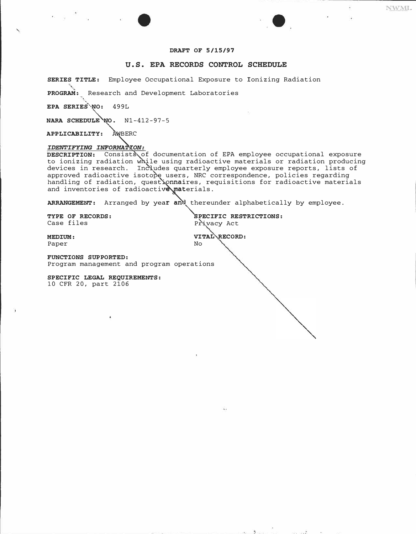# **DRAFT OF 5/15/97**

# **U.S. EPA RECORDS CONTROL SCHEDULE**

**SERIES TITLE:** Employee Occupational Exposure to Ionizing Radiation

**PROGRAM:,** Research and Development Laboratories

EPA SERIES<sup>\*</sup>NO: 499L

**NARA SCHEDULE NO. N1-412-97-5** 

**APPLICABILITY:** '\WBERC

### IDENTIFYING INFORMATION:

and inventories of radioactive materials.<br>-**DESCRIPTION:** Consists,of documentation of EPA employee occupational exposure to ionizing radiation whlle using radioactive materials or radiation producing devices in research. Includes quarterly employee exposure reports, lists of approved radioactive isotope users, NRC correspondence, policies regarding handling of radiation, quest\onnaires, requisitions for radioactive materials

ARRANGEMENT: Arranged by year and thereunder alphabetically by employee.

**TYPE OF RECORDS:**  $\begin{array}{ccc}\n\bullet & \bullet & \bullet \\
\bullet & \bullet & \bullet \\
\bullet & \bullet & \bullet\n\end{array}$ <br>  $\begin{array}{ccc}\n\bullet & \bullet & \bullet \\
\bullet & \bullet & \bullet \\
\bullet & \bullet & \bullet\n\end{array}$ Privacy Act

**MEDIUM: VITAL RECORD: Paper No** Paper No

**FUNCTIONS SUPPORTED:**  Program management and program operations

**SPECIFIC LEGAL REQUIREMENTS:** 10 CFR 20, part 2106

and the first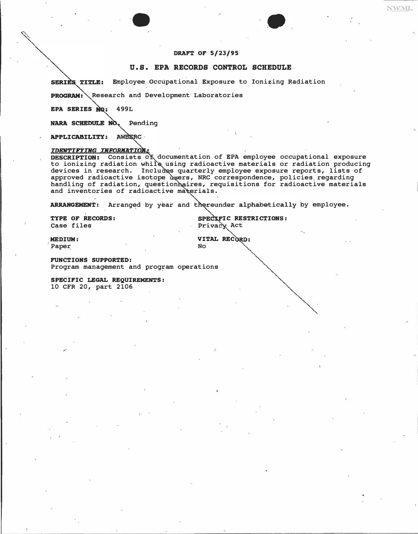# **DRAFT OF 5/23/95**

# **O.S. EPA RECORDS CONTROL SCHEDULE,**

SERIES TITLE: Employee Occupational Exposure to Ionizing Radiation

PROGRAM: Research and Development Laboratories

·•

EPA SERIES NO: 499L

NARA SCHEDULE NO. Pending

APPLICABILITY: AWBERC

# **IDENTIFYING INFORMATION:**

Consists of documentation of EPA employee occupational exposure to ionizing radiation while using radioactive materials or radiation producing devices in research. Includes quarterly employee exposure reports, lists of approved radioactive isotope users, NRC correspondence, policies regarding handling of radiation, question aires, requisitions for radioactive materials and inventories of radioactive materials.

ARRANGEMENT: Arranged by year and thereunder alphabetically by employee.

**TYPE OF RECORDS:**  case files

SPECIFIC RESTRICTIONS: Privacy Act

NWML

Paper, No. 2016. In the Mo

**MEDIUM:** VITAL RECORD:<br>Paper No

**FUNCTIONS SUPPORTED:**  Program management and program operations

**SPECIFIC LEGAL REQUIREMENTS:** 10 CFR 20, part 2106